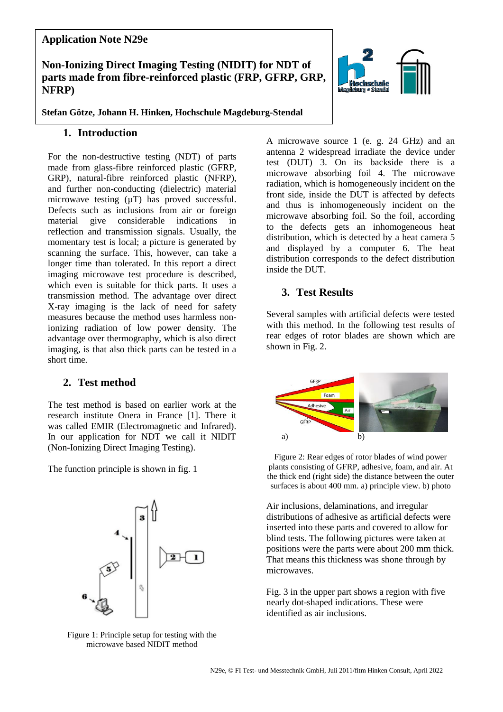# **Application Note N29e**

## **Non-Ionizing Direct Imaging Testing (NIDIT) for NDT of parts made from fibre-reinforced plastic (FRP, GFRP, GRP, NFRP)**

**Stefan Götze, Johann H. Hinken, Hochschule Magdeburg-Stendal**

### **1. Introduction**

For the non-destructive testing (NDT) of parts made from glass-fibre reinforced plastic (GFRP, GRP), natural-fibre reinforced plastic (NFRP), and further non-conducting (dielectric) material microwave testing  $(\mu T)$  has proved successful. Defects such as inclusions from air or foreign material give considerable indications reflection and transmission signals. Usually, the momentary test is local; a picture is generated by scanning the surface. This, however, can take a longer time than tolerated. In this report a direct imaging microwave test procedure is described, which even is suitable for thick parts. It uses a transmission method. The advantage over direct X-ray imaging is the lack of need for safety measures because the method uses harmless nonionizing radiation of low power density. The advantage over thermography, which is also direct imaging, is that also thick parts can be tested in a short time.

## **2. Test method**

The test method is based on earlier work at the research institute Onera in France [1]. There it was called EMIR (Electromagnetic and Infrared). In our application for NDT we call it NIDIT (Non-Ionizing Direct Imaging Testing).

The function principle is shown in fig. 1

Figure 1: Principle setup for testing with the microwave based NIDIT method

A microwave source 1 (e. g. 24 GHz) and an antenna 2 widespread irradiate the device under test (DUT) 3. On its backside there is a microwave absorbing foil 4. The microwave radiation, which is homogeneously incident on the front side, inside the DUT is affected by defects and thus is inhomogeneously incident on the microwave absorbing foil. So the foil, according to the defects gets an inhomogeneous heat distribution, which is detected by a heat camera 5 and displayed by a computer 6. The heat distribution corresponds to the defect distribution inside the DUT.

### **3. Test Results**

Several samples with artificial defects were tested with this method. In the following test results of rear edges of rotor blades are shown which are shown in Fig. 2.



Figure 2: Rear edges of rotor blades of wind power plants consisting of GFRP, adhesive, foam, and air. At the thick end (right side) the distance between the outer surfaces is about 400 mm. a) principle view. b) photo

Air inclusions, delaminations, and irregular distributions of adhesive as artificial defects were inserted into these parts and covered to allow for blind tests. The following pictures were taken at positions were the parts were about 200 mm thick. That means this thickness was shone through by microwaves.

Fig. 3 in the upper part shows a region with five nearly dot-shaped indications. These were identified as air inclusions.